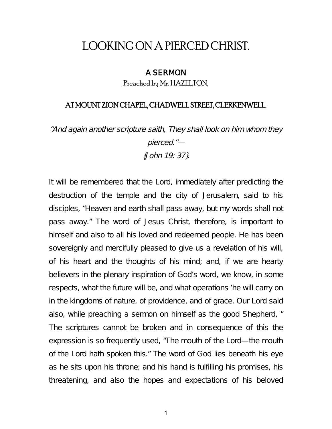# LOOKING ON A PIERCED CHRIST.

#### A SERMON

Preached by Mr. HAZELTON,

### AT MOUNT ZION CHAPEL, CHADWELL STREET, CLERKENWELL.

"And again another scripture saith, They shall look on him whom they pierced."—

{John 19: 37}.

It will be remembered that the Lord, immediately after predicting the destruction of the temple and the city of Jerusalem, said to his disciples, "Heaven and earth shall pass away, but my words shall not pass away." The word of Jesus Christ, therefore, is important to himself and also to all his loved and redeemed people. He has been sovereignly and mercifully pleased to give us a revelation of his will, of his heart and the thoughts of his mind; and, if we are hearty believers in the plenary inspiration of God's word, we know, in some respects, what the future will be, and what operations 'he will carry on in the kingdoms of nature, of providence, and of grace. Our Lord said also, while preaching a sermon on himself as the good Shepherd, " The scriptures cannot be broken and in consequence of this the expression is so frequently used, "The mouth of the Lord—the mouth of the Lord hath spoken this." The word of God lies beneath his eye as he sits upon his throne; and his hand is fulfilling his promises, his threatening, and also the hopes and expectations of his beloved

1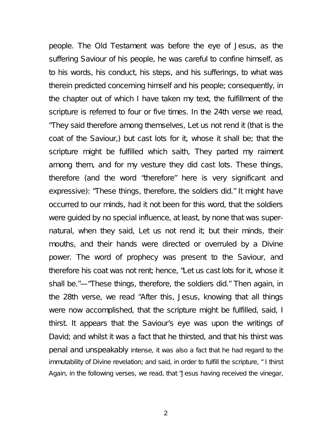people. The Old Testament was before the eye of Jesus, as the suffering Saviour of his people, he was careful to confine himself, as to his words, his conduct, his steps, and his sufferings, to what was therein predicted concerning himself and his people; consequently, in the chapter out of which I have taken my text, the fulfillment of the scripture is referred to four or five times. In the 24th verse we read, "They said therefore among themselves, Let us not rend it (that is the coat of the Saviour,) but cast lots for it, whose it shall be; that the scripture might be fulfilled which saith, They parted my raiment among them, and for my vesture they did cast lots. These things, therefore (and the word "therefore" here is very significant and expressive): "These things, therefore, the soldiers did." It might have occurred to our minds, had it not been for this word, that the soldiers were guided by no special influence, at least, by none that was supernatural, when they said, Let us not rend it; but their minds, their mouths, and their hands were directed or overruled by a Divine power. The word of prophecy was present to the Saviour, and therefore his coat was not rent; hence, "Let us cast lots for it, whose it shall be."—"These things, therefore, the soldiers did." Then again, in the 28th verse, we read "After this, Jesus, knowing that all things were now accomplished, that the scripture might be fulfilled, said, I thirst. It appears that the Saviour's eye was upon the writings of David; and whilst it was a fact that he thirsted, and that his thirst was penal and unspeakably intense, it was also a fact that he had regard to the immutability of Divine revelation; and said, in order to fulfill the scripture, " I thirst Again, in the following verses, we read, that "Jesus having received the vinegar,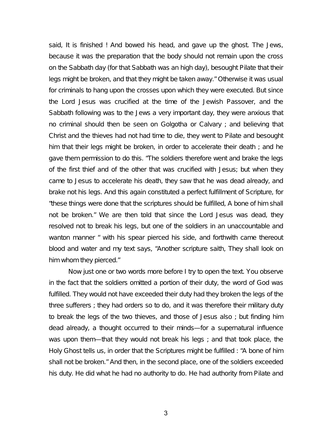said, It is finished ! And bowed his head, and gave up the ghost. The Jews, because it was the preparation that the body should not remain upon the cross on the Sabbath day (for that Sabbath was an high day), besought Pilate that their legs might be broken, and that they might be taken away." Otherwise it was usual for criminals to hang upon the crosses upon which they were executed. But since the Lord Jesus was crucified at the time of the Jewish Passover, and the Sabbath following was to the Jews a very important day, they were anxious that no criminal should then be seen on Golgotha or Calvary ; and believing that Christ and the thieves had not had time to die, they went to Pilate and besought him that their legs might be broken, in order to accelerate their death ; and he gave them permission to do this. "The soldiers therefore went and brake the legs of the first thief and of the other that was crucified with Jesus; but when they came to Jesus to accelerate his death, they saw that he was dead already, and brake not his legs. And this again constituted a perfect fulfillment of Scripture, for "these things were done that the scriptures should be fulfilled, A bone of him shall not be broken." We are then told that since the Lord Jesus was dead, they resolved not to break his legs, but one of the soldiers in an unaccountable and wanton manner " with his spear pierced his side, and forthwith came thereout blood and water and my text says, "Another scripture saith, They shall look on him whom they pierced."

Now just one or two words more before I try to open the text. You observe in the fact that the soldiers omitted a portion of their duty, the word of God was fulfilled. They would not have exceeded their duty had they broken the legs of the three sufferers ; they had orders so to do, and it was therefore their military duty to break the legs of the two thieves, and those of Jesus also ; but finding him dead already, a thought occurred to their minds—for a supernatural influence was upon them—that they would not break his legs ; and that took place, the Holy Ghost tells us, in order that the Scriptures might be fulfilled : "A bone of him shall not be broken." And then, in the second place, one of the soldiers exceeded his duty. He did what he had no authority to do. He had authority from Pilate and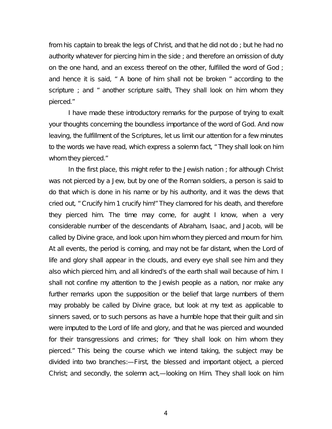from his captain to break the legs of Christ, and that he did not do ; but he had no authority whatever for piercing him in the side ; and therefore an omission of duty on the one hand, and an excess thereof on the other, fulfilled the word of God; and hence it is said, " A bone of him shall not be broken " according to the scripture ; and " another scripture saith, They shall look on him whom they pierced."

I have made these introductory remarks for the purpose of trying to exalt your thoughts concerning the boundless importance of the word of God. And now leaving, the fulfillment of the Scriptures, let us limit our attention for a few minutes to the words we have read, which express a solemn fact, " They shall look on him whom they pierced."

In the first place, this might refer to the Jewish nation ; for although Christ was not pierced by a Jew, but by one of the Roman soldiers, a person is said to do that which is done in his name or by his authority, and it was the dews that cried out, " Crucify him 1 crucify him!" They clamored for his death, and therefore they pierced him. The time may come, for aught I know, when a very considerable number of the descendants of Abraham, Isaac, and Jacob, will be called by Divine grace, and look upon him whom they pierced and mourn for him. At all events, the period is coming, and may not be far distant, when the Lord of life and glory shall appear in the clouds, and every eye shall see him and they also which pierced him, and all kindred's of the earth shall wail because of him. I shall not confine my attention to the Jewish people as a nation, nor make any further remarks upon the supposition or the belief that large numbers of them may probably be called by Divine grace, but look at my text as applicable to sinners saved, or to such persons as have a humble hope that their guilt and sin were imputed to the Lord of life and glory, and that he was pierced and wounded for their transgressions and crimes; for "they shall look on him whom they pierced." This being the course which we intend taking, the subject may be divided into two branches:—First, the blessed and important object, a pierced Christ; and secondly, the solemn act,—looking on Him. They shall look on him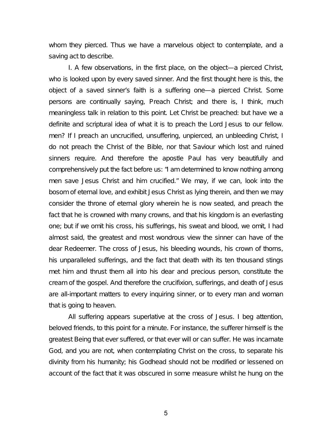whom they pierced. Thus we have a marvelous object to contemplate, and a saving act to describe.

I. A few observations, in the first place, on the object—a pierced Christ, who is looked upon by every saved sinner. And the first thought here is this, the object of a saved sinner's faith is a suffering one—a pierced Christ. Some persons are continually saying, Preach Christ; and there is, I think, much meaningless talk in relation to this point. Let Christ be preached: but have we a definite and scriptural idea of what it is to preach the Lord Jesus to our fellow. men? If I preach an uncrucified, unsuffering, unpierced, an unbleeding Christ, I do not preach the Christ of the Bible, nor that Saviour which lost and ruined sinners require. And therefore the apostle Paul has very beautifully and comprehensively put the fact before us: "I am determined to know nothing among men save Jesus Christ and him crucified." We may, if we can, look into the bosom of eternal love, and exhibit Jesus Christ as lying therein, and then we may consider the throne of eternal glory wherein he is now seated, and preach the fact that he is crowned with many crowns, and that his kingdom is an everlasting one; but if we omit his cross, his sufferings, his sweat and blood, we omit, I had almost said, the greatest and most wondrous view the sinner can have of the dear Redeemer. The cross of Jesus, his bleeding wounds, his crown of thorns, his unparalleled sufferings, and the fact that death with its ten thousand stings met him and thrust them all into his dear and precious person, constitute the cream of the gospel. And therefore the crucifixion, sufferings, and death of Jesus are all-important matters to every inquiring sinner, or to every man and woman that is going to heaven.

All suffering appears superlative at the cross of Jesus. I beg attention, beloved friends, to this point for a minute. For instance, the sufferer himself is the greatest Being that ever suffered, or that ever will or can suffer. He was incarnate God, and you are not, when contemplating Christ on the cross, to separate his divinity from his humanity; his Godhead should not be modified or lessened on account of the fact that it was obscured in some measure whilst he hung on the

5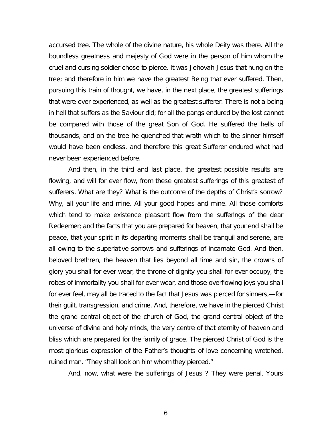accursed tree. The whole of the divine nature, his whole Deity was there. All the boundless greatness and majesty of God were in the person of him whom the cruel and cursing soldier chose to pierce. It was Jehovah-Jesus that hung on the tree; and therefore in him we have the greatest Being that ever suffered. Then, pursuing this train of thought, we have, in the next place, the greatest sufferings that were ever experienced, as well as the greatest sufferer. There is not a being in hell that suffers as the Saviour did; for all the pangs endured by the lost cannot be compared with those of the great Son of God. He suffered the hells of thousands, and on the tree he quenched that wrath which to the sinner himself would have been endless, and therefore this great Sufferer endured what had never been experienced before.

And then, in the third and last place, the greatest possible results are flowing, and will for ever flow, from these greatest sufferings of this greatest of sufferers. What are they? What is the outcome of the depths of Christ's sorrow? Why, all your life and mine. All your good hopes and mine. All those comforts which tend to make existence pleasant flow from the sufferings of the dear Redeemer; and the facts that you are prepared for heaven, that your end shall be peace, that your spirit in its departing moments shall be tranquil and serene, are all owing to the superlative sorrows and sufferings of incarnate God. And then, beloved brethren, the heaven that lies beyond all time and sin, the crowns of glory you shall for ever wear, the throne of dignity you shall for ever occupy, the robes of immortality you shall for ever wear, and those overflowing joys you shall for ever feel, may all be traced to the fact that Jesus was pierced for sinners,—for their guilt, transgression, and crime. And, therefore, we have in the pierced Christ the grand central object of the church of God, the grand central object of the universe of divine and holy minds, the very centre of that eternity of heaven and bliss which are prepared for the family of grace. The pierced Christ of God is the most glorious expression of the Father's thoughts of love concerning wretched, ruined man. "They shall look on him whom they pierced."

And, now, what were the sufferings of Jesus ? They were penal. Yours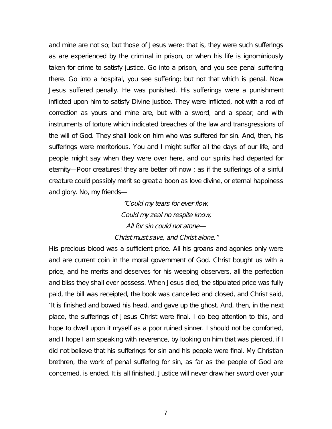and mine are not so; but those of Jesus were: that is, they were such sufferings as are experienced by the criminal in prison, or when his life is ignominiously taken for crime to satisfy justice. Go into a prison, and you see penal suffering there. Go into a hospital, you see suffering; but not that which is penal. Now Jesus suffered penally. He was punished. His sufferings were a punishment inflicted upon him to satisfy Divine justice. They were inflicted, not with a rod of correction as yours and mine are, but with a sword, and a spear, and with instruments of torture which indicated breaches of the law and transgressions of the will of God. They shall look on him who was suffered for sin. And, then, his sufferings were meritorious. You and I might suffer all the days of our life, and people might say when they were over here, and our spirits had departed for eternity—Poor creatures! they are better off now ; as if the sufferings of a sinful creature could possibly merit so great a boon as love divine, or eternal happiness and glory. No, my friends—

> "Could my tears for ever flow, Could my zeal no respite know, All for sin could not atone— Christ must save, and Christ alone."

His precious blood was a sufficient price. All his groans and agonies only were and are current coin in the moral government of God. Christ bought us with a price, and he merits and deserves for his weeping observers, all the perfection and bliss they shall ever possess. When Jesus died, the stipulated price was fully paid, the bill was receipted, the book was cancelled and closed, and Christ said, "It is finished and bowed his head, and gave up the ghost. And, then, in the next place, the sufferings of Jesus Christ were final. I do beg attention to this, and hope to dwell upon it myself as a poor ruined sinner. I should not be comforted, and I hope I am speaking with reverence, by looking on him that was pierced, if I did not believe that his sufferings for sin and his people were final. My Christian brethren, the work of penal suffering for sin, as far as the people of God are concerned, is ended. It is all finished. Justice will never draw her sword over your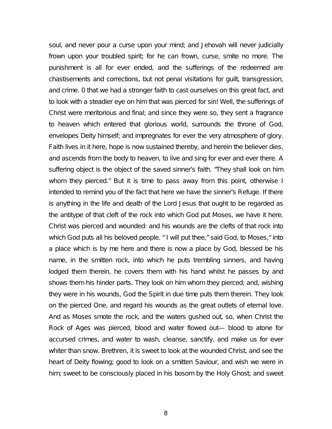soul, and never pour a curse upon your mind; and Jehovah will never judicially frown upon your troubled spirit; for he can frown, curse, smite no more. The punishment is all for ever ended, and the sufferings of the redeemed are chastisements and corrections, but not penal visitations for guilt, transgression, and crime. 0 that we had a stronger faith to cast ourselves on this great fact, and to look with a steadier eye on him that was pierced for sin! Well, the sufferings of Christ were meritorious and final; and since they were so, they sent a fragrance to heaven which entered that glorious world, surrounds the throne of God, envelopes Deity himself; and impregnates for ever the very atmosphere of glory. Faith lives in it here, hope is now sustained thereby, and herein the believer dies, and ascends from the body to heaven, to live and sing for ever and ever there. A suffering object is the object of the saved sinner's faith. "They shall look on him whom they pierced." But it is time to pass away from this point, otherwise I intended to remind you of the fact that here we have the sinner's Refuge. If there is anything in the life and death of the Lord Jesus that ought to be regarded as the antitype of that cleft of the rock into which God put Moses, we have it here. Christ was pierced and wounded: and his wounds are the clefts of that rock into which God puts all his beloved people. " I will put thee," said God, to Moses," into a place which is by me here and there is now a place by God, blessed be his name, in the smitten rock, into which he puts trembling sinners, and having lodged them therein, he covers them with his hand whilst he passes by and shows them his hinder parts. They look on him whom they pierced; and, wishing they were in his wounds, God the Spirit in due time puts them therein. They look on the pierced One, and regard his wounds as the great outlets of eternal love. And as Moses smote the rock, and the waters gushed out, so, when Christ the Rock of Ages was pierced, blood and water flowed out— blood to atone for accursed crimes, and water to wash, cleanse, sanctify, and make us for ever whiter than snow. Brethren, it is sweet to look at the wounded Christ, and see the heart of Deity flowing; good to look on a smitten Saviour, and wish we were in him; sweet to be consciously placed in his bosom by the Holy Ghost; and sweet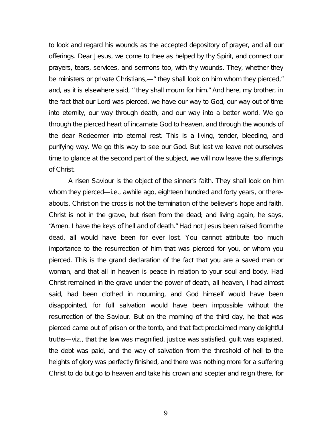to look and regard his wounds as the accepted depository of prayer, and all our offerings. Dear Jesus, we come to thee as helped by thy Spirit, and connect our prayers, tears, services, and sermons too, with thy wounds. They, whether they be ministers or private Christians,—" they shall look on him whom they pierced," and, as it is elsewhere said, " they shall mourn for him." And here, my brother, in the fact that our Lord was pierced, we have our way to God, our way out of time into eternity, our way through death, and our way into a better world. We go through the pierced heart of incarnate God to heaven, and through the wounds of the dear Redeemer into eternal rest. This is a living, tender, bleeding, and purifying way. We go this way to see our God. But lest we leave not ourselves time to glance at the second part of the subject, we will now leave the sufferings of Christ.

A risen Saviour is the object of the sinner's faith. They shall look on him whom they pierced—i.e., awhile ago, eighteen hundred and forty years, or thereabouts. Christ on the cross is not the termination of the believer's hope and faith. Christ is not in the grave, but risen from the dead; and living again, he says, "Amen. I have the keys of hell and of death." Had not Jesus been raised from the dead, all would have been for ever lost. You cannot attribute too much importance to the resurrection of him that was pierced for you, or whom you pierced. This is the grand declaration of the fact that you are a saved man or woman, and that all in heaven is peace in relation to your soul and body. Had Christ remained in the grave under the power of death, all heaven, I had almost said, had been clothed in mourning, and God himself would have been disappointed, for full salvation would have been impossible without the resurrection of the Saviour. But on the morning of the third day, he that was pierced came out of prison or the tomb, and that fact proclaimed many delightful truths—viz., that the law was magnified, justice was satisfied, guilt was expiated, the debt was paid, and the way of salvation from the threshold of hell to the heights of glory was perfectly finished, and there was nothing more for a suffering Christ to do but go to heaven and take his crown and scepter and reign there, for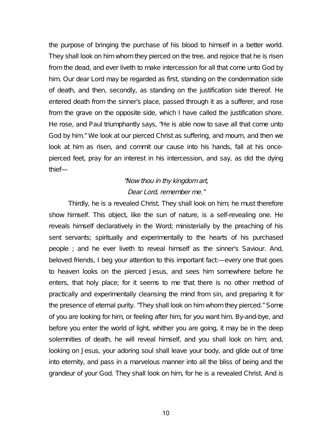the purpose of bringing the purchase of his blood to himself in a better world. They shall look on him whom they pierced on the tree, and rejoice that he is risen from the dead, and ever liveth to make intercession for all that come unto God by him. Our dear Lord may be regarded as first, standing on the condemnation side of death, and then, secondly, as standing on the justification side thereof. He entered death from the sinner's place, passed through it as a sufferer, and rose from the grave on the opposite side, which I have called the justification shore. He rose, and Paul triumphantly says, "He is able now to save all that come unto God by him." We look at our pierced Christ as suffering, and mourn, and then we look at him as risen, and commit our cause into his hands, fall at his oncepierced feet, pray for an interest in his intercession, and say, as did the dying thief—

## "Now thou in thy kingdom art, Dear Lord, remember me."

Thirdly, he is a revealed Christ. They shall look on him; he must therefore show himself. This object, like the sun of nature, is a self-revealing one. He reveals himself declaratively in the Word; ministerially by the preaching of his sent servants; spiritually and experimentally to the hearts of his purchased people ; and he ever liveth to reveal himself as the sinner's Saviour. And, beloved friends, I beg your attention to this important fact:—every one that goes to heaven looks on the pierced Jesus, and sees him somewhere before he enters, that holy place; for it seems to me that there is no other method of practically and experimentally cleansing the mind from sin, and preparing it for the presence of eternal purity. "They shall look on him whom they pierced." Some of you are looking for him, or feeling after him, for you want him. By-and-bye, and before you enter the world of light, whither you are going, it may be in the deep solemnities of death, he will reveal himself, and you shall look on him; and, looking on Jesus, your adoring soul shall leave your body, and glide out of time into eternity, and pass in a marvelous manner into all the bliss of being and the grandeur of your God. They shall look on him, for he is a revealed Christ. And is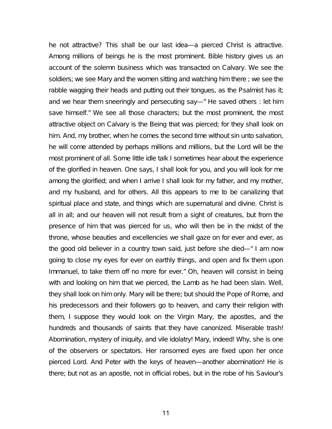he not attractive? This shall be our last idea—a pierced Christ is attractive. Among millions of beings he is the most prominent. Bible history gives us an account of the solemn business which was transacted on Calvary. We see the soldiers; we see Mary and the women sitting and watching him there ; we see the rabble wagging their heads and putting out their tongues, as the Psalmist has it; and we hear them sneeringly and persecuting say—" He saved others : let him save himself." We see all those characters; but the most prominent, the most attractive object on Calvary is the Being that was pierced; for they shall look on him. And, my brother, when he comes the second time without sin unto salvation, he will come attended by perhaps millions and millions, but the Lord will be the most prominent of all. Some little idle talk I sometimes hear about the experience of the glorified in heaven. One says, I shall look for you, and you will look for me among the glorified; and when I arrive I shall look for my father, and my mother, and my husband, and for others. All this appears to me to be canalizing that spiritual place and state, and things which are supernatural and divine. Christ is all in all; and our heaven will not result from a sight of creatures, but from the presence of him that was pierced for us, who will then be in the midst of the throne, whose beauties and excellencies we shall gaze on for ever and ever, as the good old believer in a country town said, just before she died—" I am now going to close my eyes for ever on earthly things, and open and fix them upon Immanuel, to take them off no more for ever." Oh, heaven will consist in being with and looking on him that we pierced, the Lamb as he had been slain. Well, they shall look on him only. Mary will be there; but should the Pope of Rome, and his predecessors and their followers go to heaven, and carry their religion with them, I suppose they would look on the Virgin Mary, the apostles, and the hundreds and thousands of saints that they have canonized. Miserable trash! Abomination, mystery of iniquity, and vile idolatry! Mary, indeed! Why, she is one of the observers or spectators. Her ransomed eyes are fixed upon her once pierced Lord. And Peter with the keys of heaven—another abomination! He is there; but not as an apostle, not in official robes, but in the robe of his Saviour's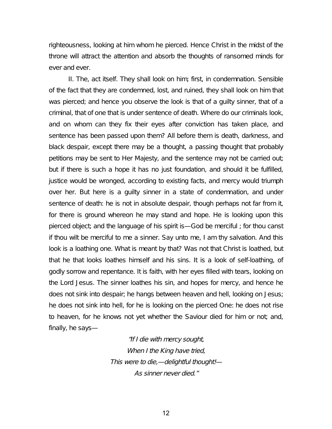righteousness, looking at him whom he pierced. Hence Christ in the midst of the throne will attract the attention and absorb the thoughts of ransomed minds for ever and ever.

II. The, act itself. They shall look on him; first, in condemnation. Sensible of the fact that they are condemned, lost, and ruined, they shall look on him that was pierced; and hence you observe the look is that of a guilty sinner, that of a criminal, that of one that is under sentence of death. Where do our criminals look, and on whom can they fix their eyes after conviction has taken place, and sentence has been passed upon them? All before them is death, darkness, and black despair, except there may be a thought, a passing thought that probably petitions may be sent to Her Majesty, and the sentence may not be carried out; but if there is such a hope it has no just foundation, and should it be fulfilled, justice would be wronged, according to existing facts, and mercy would triumph over her. But here is a guilty sinner in a state of condemnation, and under sentence of death: he is not in absolute despair, though perhaps not far from it, for there is ground whereon he may stand and hope. He is looking upon this pierced object; and the language of his spirit is—God be merciful ; for thou canst if thou wilt be merciful to me a sinner. Say unto me, I am thy salvation. And this look is a loathing one. What is meant by that? Was not that Christ is loathed, but that he that looks loathes himself and his sins. It is a look of self-loathing, of godly sorrow and repentance. It is faith, with her eyes filled with tears, looking on the Lord Jesus. The sinner loathes his sin, and hopes for mercy, and hence he does not sink into despair; he hangs between heaven and hell, looking on Jesus; he does not sink into hell, for he is looking on the pierced One: he does not rise to heaven, for he knows not yet whether the Saviour died for him or not; and, finally, he says—

> "If <sup>I</sup> die with mercy sought, When I the King have tried, This were to die,—delightful thought!— As sinner never died."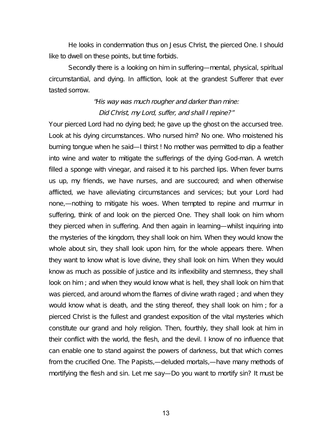He looks in condemnation thus on Jesus Christ, the pierced One. I should like to dwell on these points, but time forbids.

Secondly there is a looking on him in suffering—mental, physical, spiritual circumstantial, and dying. In affliction, look at the grandest Sufferer that ever tasted sorrow.

## "His way was much rougher and darker than mine: Did Christ, my Lord, suffer, and shall <sup>I</sup> repine?"

Your pierced Lord had no dying bed; he gave up the ghost on the accursed tree. Look at his dying circumstances. Who nursed him? No one. Who moistened his burning tongue when he said—I thirst ! No mother was permitted to dip a feather into wine and water to mitigate the sufferings of the dying God-man. A wretch filled a sponge with vinegar, and raised it to his parched lips. When fever burns us up, my friends, we have nurses, and are succoured; and when otherwise afflicted, we have alleviating circumstances and services; but your Lord had none,—nothing to mitigate his woes. When tempted to repine and murmur in suffering, think of and look on the pierced One. They shall look on him whom they pierced when in suffering. And then again in learning—whilst inquiring into the mysteries of the kingdom, they shall look on him. When they would know the whole about sin, they shall look upon him, for the whole appears there. When they want to know what is love divine, they shall look on him. When they would know as much as possible of justice and its inflexibility and sternness, they shall look on him ; and when they would know what is hell, they shall look on him that was pierced, and around whom the flames of divine wrath raged ; and when they would know what is death, and the sting thereof, they shall look on him ; for a pierced Christ is the fullest and grandest exposition of the vital mysteries which constitute our grand and holy religion. Then, fourthly, they shall look at him in their conflict with the world, the flesh, and the devil. I know of no influence that can enable one to stand against the powers of darkness, but that which comes from the crucified One. The Papists,—deluded mortals,—have many methods of mortifying the flesh and sin. Let me say—Do you want to mortify sin? It must be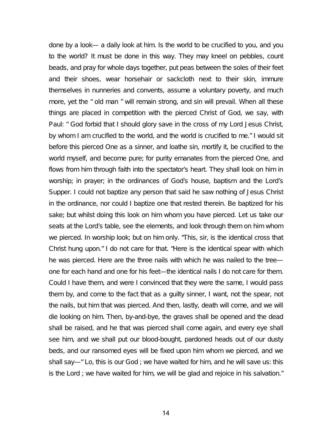done by a look— a daily look at him. Is the world to be crucified to you, and you to the world? It must be done in this way. They may kneel on pebbles, count beads, and pray for whole days together, put peas between the soles of their feet and their shoes, wear horsehair or sackcloth next to their skin, immure themselves in nunneries and convents, assume a voluntary poverty, and much more, yet the " old man " will remain strong, and sin will prevail. When all these things are placed in competition with the pierced Christ of God, we say, with Paul: " God forbid that I should glory save in the cross of my Lord Jesus Christ, by whom I am crucified to the world, and the world is crucified to me." I would sit before this pierced One as a sinner, and loathe sin, mortify it, be crucified to the world myself, and become pure; for purity emanates from the pierced One, and flows from him through faith into the spectator's heart. They shall look on him in worship; in prayer; in the ordinances of God's house, baptism and the Lord's Supper. I could not baptize any person that said he saw nothing of Jesus Christ in the ordinance, nor could I baptize one that rested therein. Be baptized for his sake; but whilst doing this look on him whom you have pierced. Let us take our seats at the Lord's table, see the elements, and look through them on him whom we pierced. In worship look; but on him only. "This, sir, is the identical cross that Christ hung upon." I do not care for that. "Here is the identical spear with which he was pierced. Here are the three nails with which he was nailed to the tree one for each hand and one for his feet—the identical nails I do not care for them. Could I have them, and were I convinced that they were the same, I would pass them by, and come to the fact that as a guilty sinner, I want, not the spear, not the nails, but him that was pierced. And then, lastly, death will come, and we will die looking on him. Then, by-and-bye, the graves shall be opened and the dead shall be raised, and he that was pierced shall come again, and every eye shall see him, and we shall put our blood-bought, pardoned heads out of our dusty beds, and our ransomed eyes will be fixed upon him whom we pierced, and we shall say—" Lo, this is our God ; we have waited for him, and he will save us: this is the Lord ; we have waited for him, we will be glad and rejoice in his salvation."